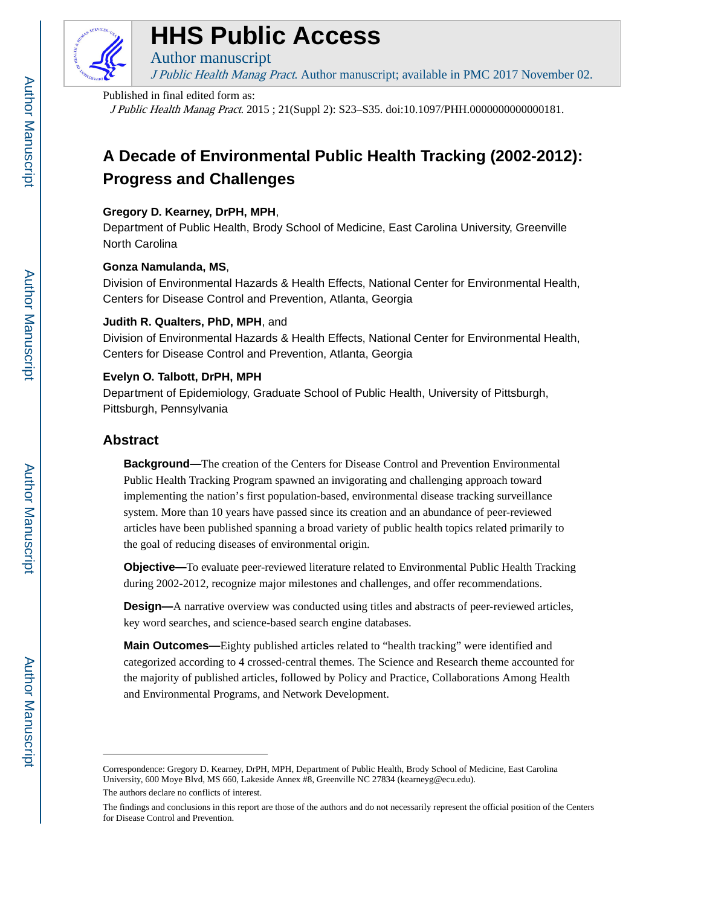

# **HHS Public Access**

Author manuscript J Public Health Manag Pract. Author manuscript; available in PMC 2017 November 02.

#### Published in final edited form as:

J Public Health Manag Pract. 2015 ; 21(Suppl 2): S23–S35. doi:10.1097/PHH.0000000000000181.

# **A Decade of Environmental Public Health Tracking (2002-2012): Progress and Challenges**

# **Gregory D. Kearney, DrPH, MPH**,

Department of Public Health, Brody School of Medicine, East Carolina University, Greenville North Carolina

# **Gonza Namulanda, MS**,

Division of Environmental Hazards & Health Effects, National Center for Environmental Health, Centers for Disease Control and Prevention, Atlanta, Georgia

# **Judith R. Qualters, PhD, MPH**, and

Division of Environmental Hazards & Health Effects, National Center for Environmental Health, Centers for Disease Control and Prevention, Atlanta, Georgia

# **Evelyn O. Talbott, DrPH, MPH**

Department of Epidemiology, Graduate School of Public Health, University of Pittsburgh, Pittsburgh, Pennsylvania

# **Abstract**

**Background—**The creation of the Centers for Disease Control and Prevention Environmental Public Health Tracking Program spawned an invigorating and challenging approach toward implementing the nation's first population-based, environmental disease tracking surveillance system. More than 10 years have passed since its creation and an abundance of peer-reviewed articles have been published spanning a broad variety of public health topics related primarily to the goal of reducing diseases of environmental origin.

**Objective—**To evaluate peer-reviewed literature related to Environmental Public Health Tracking during 2002-2012, recognize major milestones and challenges, and offer recommendations.

**Design—**A narrative overview was conducted using titles and abstracts of peer-reviewed articles, key word searches, and science-based search engine databases.

**Main Outcomes—**Eighty published articles related to "health tracking" were identified and categorized according to 4 crossed-central themes. The Science and Research theme accounted for the majority of published articles, followed by Policy and Practice, Collaborations Among Health and Environmental Programs, and Network Development.

Correspondence: Gregory D. Kearney, DrPH, MPH, Department of Public Health, Brody School of Medicine, East Carolina University, 600 Moye Blvd, MS 660, Lakeside Annex #8, Greenville NC 27834 (kearneyg@ecu.edu).

The authors declare no conflicts of interest.

The findings and conclusions in this report are those of the authors and do not necessarily represent the official position of the Centers for Disease Control and Prevention.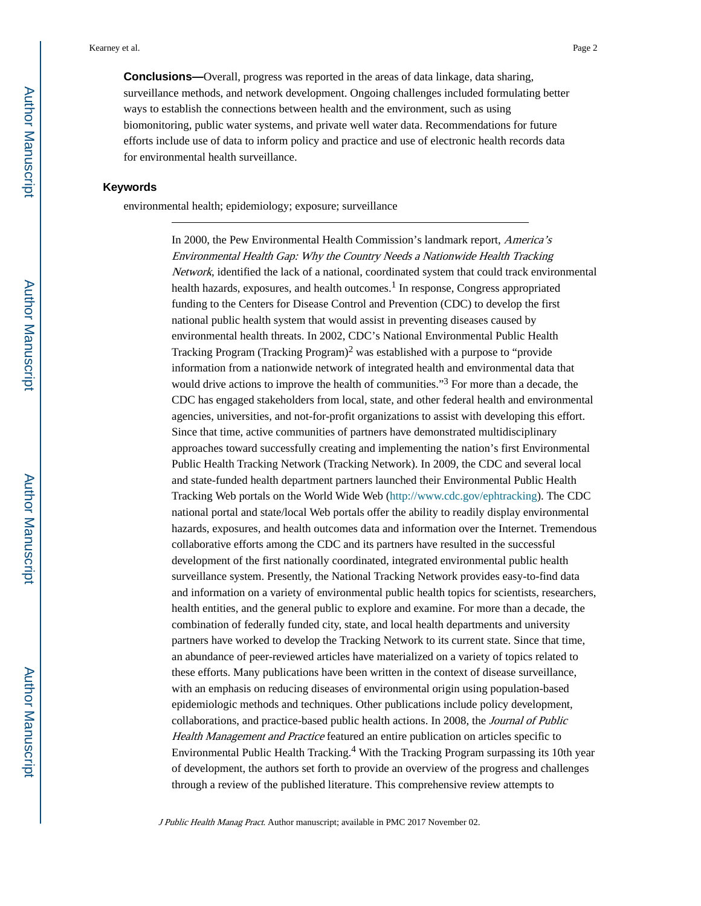**Conclusions—**Overall, progress was reported in the areas of data linkage, data sharing, surveillance methods, and network development. Ongoing challenges included formulating better ways to establish the connections between health and the environment, such as using biomonitoring, public water systems, and private well water data. Recommendations for future efforts include use of data to inform policy and practice and use of electronic health records data for environmental health surveillance.

#### **Keywords**

environmental health; epidemiology; exposure; surveillance

In 2000, the Pew Environmental Health Commission's landmark report, America's Environmental Health Gap: Why the Country Needs a Nationwide Health Tracking Network, identified the lack of a national, coordinated system that could track environmental health hazards, exposures, and health outcomes.<sup>1</sup> In response, Congress appropriated funding to the Centers for Disease Control and Prevention (CDC) to develop the first national public health system that would assist in preventing diseases caused by environmental health threats. In 2002, CDC's National Environmental Public Health Tracking Program (Tracking Program)<sup>2</sup> was established with a purpose to "provide" information from a nationwide network of integrated health and environmental data that would drive actions to improve the health of communities."<sup>3</sup> For more than a decade, the CDC has engaged stakeholders from local, state, and other federal health and environmental agencies, universities, and not-for-profit organizations to assist with developing this effort. Since that time, active communities of partners have demonstrated multidisciplinary approaches toward successfully creating and implementing the nation's first Environmental Public Health Tracking Network (Tracking Network). In 2009, the CDC and several local and state-funded health department partners launched their Environmental Public Health Tracking Web portals on the World Wide Web (<http://www.cdc.gov/ephtracking>). The CDC national portal and state/local Web portals offer the ability to readily display environmental hazards, exposures, and health outcomes data and information over the Internet. Tremendous collaborative efforts among the CDC and its partners have resulted in the successful development of the first nationally coordinated, integrated environmental public health surveillance system. Presently, the National Tracking Network provides easy-to-find data and information on a variety of environmental public health topics for scientists, researchers, health entities, and the general public to explore and examine. For more than a decade, the combination of federally funded city, state, and local health departments and university partners have worked to develop the Tracking Network to its current state. Since that time, an abundance of peer-reviewed articles have materialized on a variety of topics related to these efforts. Many publications have been written in the context of disease surveillance, with an emphasis on reducing diseases of environmental origin using population-based epidemiologic methods and techniques. Other publications include policy development, collaborations, and practice-based public health actions. In 2008, the Journal of Public Health Management and Practice featured an entire publication on articles specific to Environmental Public Health Tracking.<sup>4</sup> With the Tracking Program surpassing its 10th year of development, the authors set forth to provide an overview of the progress and challenges through a review of the published literature. This comprehensive review attempts to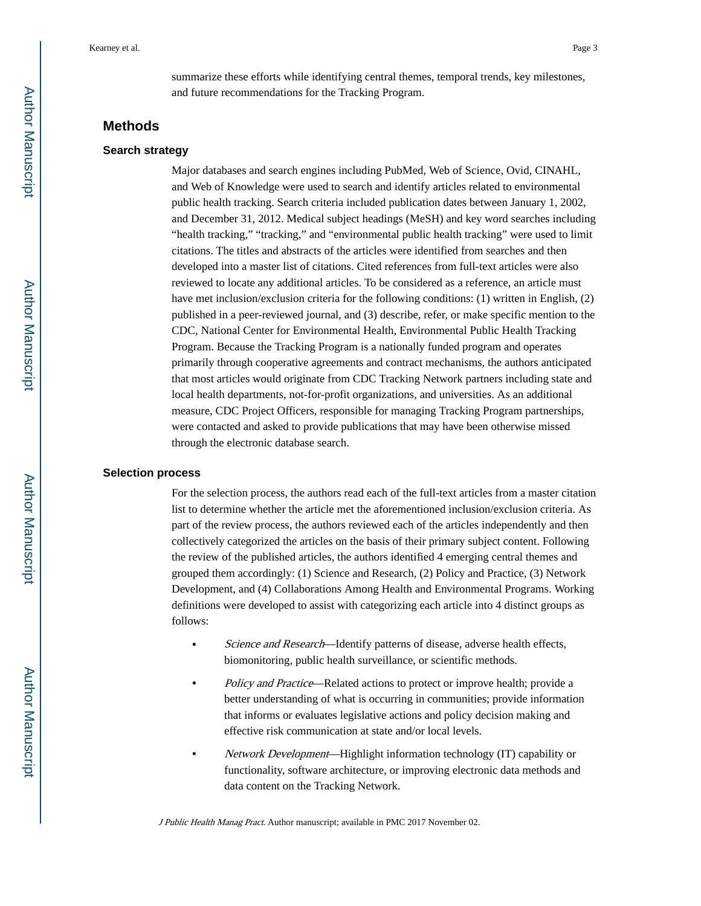summarize these efforts while identifying central themes, temporal trends, key milestones, and future recommendations for the Tracking Program.

# **Methods**

#### **Search strategy**

Major databases and search engines including PubMed, Web of Science, Ovid, CINAHL, and Web of Knowledge were used to search and identify articles related to environmental public health tracking. Search criteria included publication dates between January 1, 2002, and December 31, 2012. Medical subject headings (MeSH) and key word searches including "health tracking," "tracking," and "environmental public health tracking" were used to limit citations. The titles and abstracts of the articles were identified from searches and then developed into a master list of citations. Cited references from full-text articles were also reviewed to locate any additional articles. To be considered as a reference, an article must have met inclusion/exclusion criteria for the following conditions: (1) written in English, (2) published in a peer-reviewed journal, and (3) describe, refer, or make specific mention to the CDC, National Center for Environmental Health, Environmental Public Health Tracking Program. Because the Tracking Program is a nationally funded program and operates primarily through cooperative agreements and contract mechanisms, the authors anticipated that most articles would originate from CDC Tracking Network partners including state and local health departments, not-for-profit organizations, and universities. As an additional measure, CDC Project Officers, responsible for managing Tracking Program partnerships, were contacted and asked to provide publications that may have been otherwise missed through the electronic database search.

#### **Selection process**

For the selection process, the authors read each of the full-text articles from a master citation list to determine whether the article met the aforementioned inclusion/exclusion criteria. As part of the review process, the authors reviewed each of the articles independently and then collectively categorized the articles on the basis of their primary subject content. Following the review of the published articles, the authors identified 4 emerging central themes and grouped them accordingly: (1) Science and Research, (2) Policy and Practice, (3) Network Development, and (4) Collaborations Among Health and Environmental Programs. Working definitions were developed to assist with categorizing each article into 4 distinct groups as follows:

- **•** Science and Research—Identify patterns of disease, adverse health effects, biomonitoring, public health surveillance, or scientific methods.
- **•** Policy and Practice—Related actions to protect or improve health; provide a better understanding of what is occurring in communities; provide information that informs or evaluates legislative actions and policy decision making and effective risk communication at state and/or local levels.
- **•** Network Development—Highlight information technology (IT) capability or functionality, software architecture, or improving electronic data methods and data content on the Tracking Network.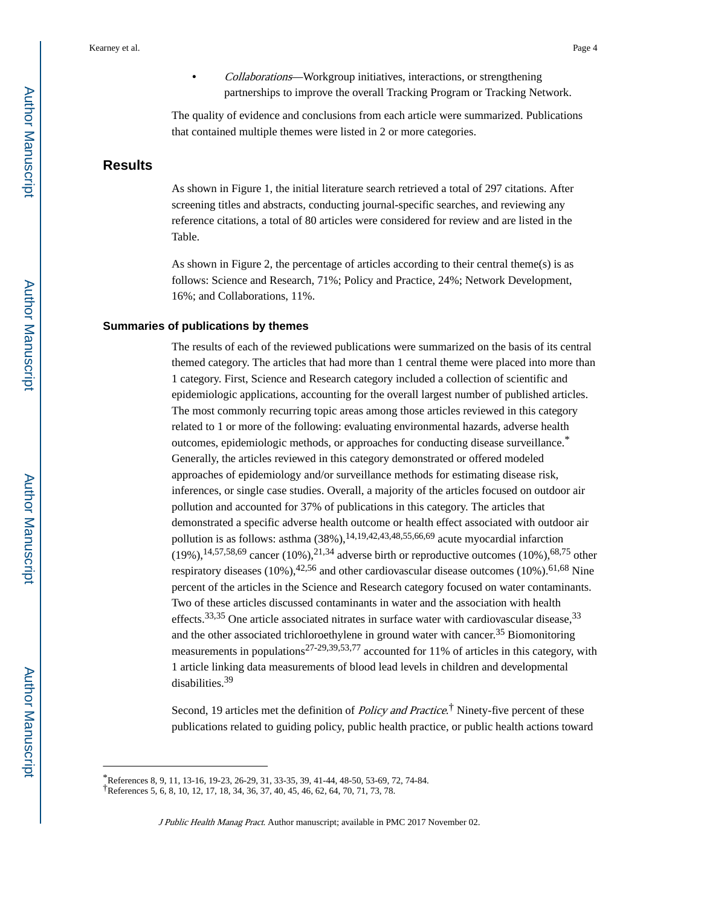**•** Collaborations—Workgroup initiatives, interactions, or strengthening partnerships to improve the overall Tracking Program or Tracking Network.

The quality of evidence and conclusions from each article were summarized. Publications that contained multiple themes were listed in 2 or more categories.

# **Results**

As shown in Figure 1, the initial literature search retrieved a total of 297 citations. After screening titles and abstracts, conducting journal-specific searches, and reviewing any reference citations, a total of 80 articles were considered for review and are listed in the Table.

As shown in Figure 2, the percentage of articles according to their central theme(s) is as follows: Science and Research, 71%; Policy and Practice, 24%; Network Development, 16%; and Collaborations, 11%.

#### **Summaries of publications by themes**

The results of each of the reviewed publications were summarized on the basis of its central themed category. The articles that had more than 1 central theme were placed into more than 1 category. First, Science and Research category included a collection of scientific and epidemiologic applications, accounting for the overall largest number of published articles. The most commonly recurring topic areas among those articles reviewed in this category related to 1 or more of the following: evaluating environmental hazards, adverse health outcomes, epidemiologic methods, or approaches for conducting disease surveillance.\* Generally, the articles reviewed in this category demonstrated or offered modeled approaches of epidemiology and/or surveillance methods for estimating disease risk, inferences, or single case studies. Overall, a majority of the articles focused on outdoor air pollution and accounted for 37% of publications in this category. The articles that demonstrated a specific adverse health outcome or health effect associated with outdoor air pollution is as follows: asthma  $(38\%)$ ,<sup>14,19,42,43,48,55,66,69</sup> acute myocardial infarction  $(19\%)$ ,  $^{14,57,58,69}$  cancer  $(10\%)$ ,  $^{21,34}$  adverse birth or reproductive outcomes  $(10\%)$ ,  $^{68,75}$  other respiratory diseases (10%),  $42,56$  and other cardiovascular disease outcomes (10%).  $61,68$  Nine percent of the articles in the Science and Research category focused on water contaminants. Two of these articles discussed contaminants in water and the association with health effects.<sup>33,35</sup> One article associated nitrates in surface water with cardiovascular disease.<sup>33</sup> and the other associated trichloroethylene in ground water with cancer.<sup>35</sup> Biomonitoring measurements in populations<sup>27-29,39,53,77</sup> accounted for 11% of articles in this category, with 1 article linking data measurements of blood lead levels in children and developmental disabilities.<sup>39</sup>

Second, 19 articles met the definition of *Policy and Practice*.<sup>†</sup> Ninety-five percent of these publications related to guiding policy, public health practice, or public health actions toward

<sup>\*</sup>References 8, 9, 11, 13-16, 19-23, 26-29, 31, 33-35, 39, 41-44, 48-50, 53-69, 72, 74-84.

<sup>†</sup>References 5, 6, 8, 10, 12, 17, 18, 34, 36, 37, 40, 45, 46, 62, 64, 70, 71, 73, 78.

J Public Health Manag Pract. Author manuscript; available in PMC 2017 November 02.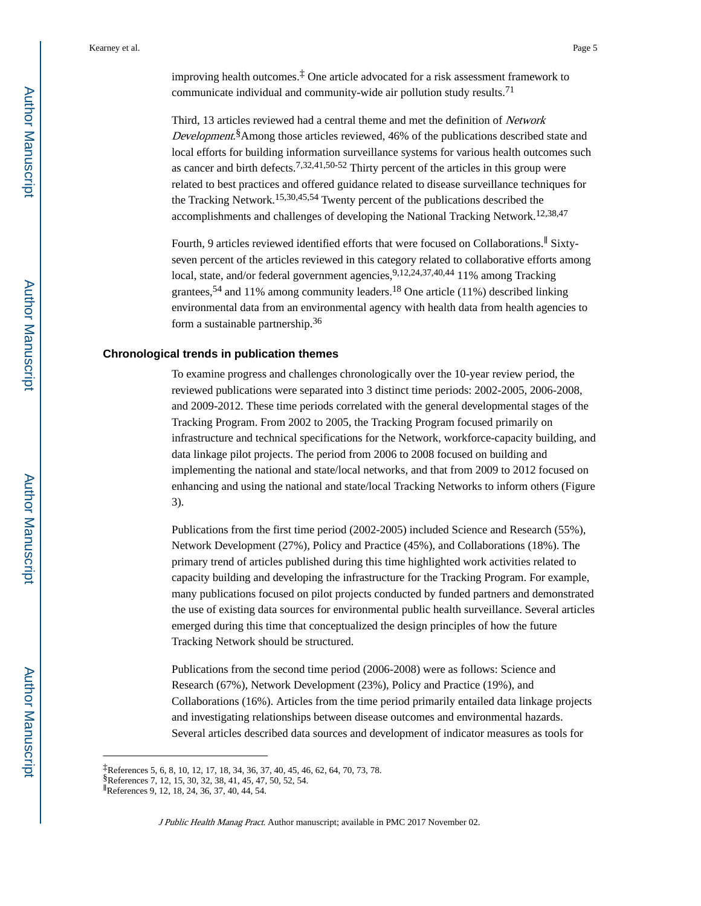improving health outcomes.‡ One article advocated for a risk assessment framework to communicate individual and community-wide air pollution study results.<sup>71</sup>

Third, 13 articles reviewed had a central theme and met the definition of Network Development.<sup>§</sup> Among those articles reviewed, 46% of the publications described state and local efforts for building information surveillance systems for various health outcomes such as cancer and birth defects.<sup>7,32,41,50-52</sup> Thirty percent of the articles in this group were related to best practices and offered guidance related to disease surveillance techniques for the Tracking Network.15,30,45,54 Twenty percent of the publications described the accomplishments and challenges of developing the National Tracking Network.12,38,47

Fourth, 9 articles reviewed identified efforts that were focused on Collaborations.∥ Sixtyseven percent of the articles reviewed in this category related to collaborative efforts among local, state, and/or federal government agencies, 9,12,24,37,40,44 11% among Tracking grantees,<sup>54</sup> and 11% among community leaders.<sup>18</sup> One article (11%) described linking environmental data from an environmental agency with health data from health agencies to form a sustainable partnership.<sup>36</sup>

#### **Chronological trends in publication themes**

To examine progress and challenges chronologically over the 10-year review period, the reviewed publications were separated into 3 distinct time periods: 2002-2005, 2006-2008, and 2009-2012. These time periods correlated with the general developmental stages of the Tracking Program. From 2002 to 2005, the Tracking Program focused primarily on infrastructure and technical specifications for the Network, workforce-capacity building, and data linkage pilot projects. The period from 2006 to 2008 focused on building and implementing the national and state/local networks, and that from 2009 to 2012 focused on enhancing and using the national and state/local Tracking Networks to inform others (Figure 3).

Publications from the first time period (2002-2005) included Science and Research (55%), Network Development (27%), Policy and Practice (45%), and Collaborations (18%). The primary trend of articles published during this time highlighted work activities related to capacity building and developing the infrastructure for the Tracking Program. For example, many publications focused on pilot projects conducted by funded partners and demonstrated the use of existing data sources for environmental public health surveillance. Several articles emerged during this time that conceptualized the design principles of how the future Tracking Network should be structured.

Publications from the second time period (2006-2008) were as follows: Science and Research (67%), Network Development (23%), Policy and Practice (19%), and Collaborations (16%). Articles from the time period primarily entailed data linkage projects and investigating relationships between disease outcomes and environmental hazards. Several articles described data sources and development of indicator measures as tools for

<sup>‡</sup>References 5, 6, 8, 10, 12, 17, 18, 34, 36, 37, 40, 45, 46, 62, 64, 70, 73, 78.

<sup>§</sup>References 7, 12, 15, 30, 32, 38, 41, 45, 47, 50, 52, 54.

<sup>∥</sup>References 9, 12, 18, 24, 36, 37, 40, 44, 54.

J Public Health Manag Pract. Author manuscript; available in PMC 2017 November 02.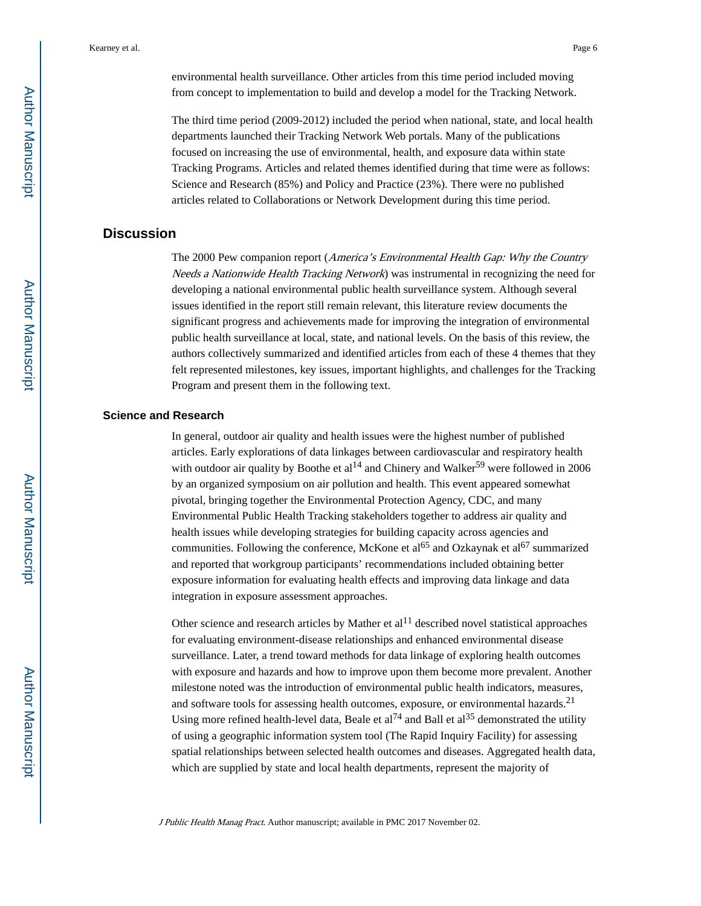environmental health surveillance. Other articles from this time period included moving from concept to implementation to build and develop a model for the Tracking Network.

The third time period (2009-2012) included the period when national, state, and local health departments launched their Tracking Network Web portals. Many of the publications focused on increasing the use of environmental, health, and exposure data within state Tracking Programs. Articles and related themes identified during that time were as follows: Science and Research (85%) and Policy and Practice (23%). There were no published articles related to Collaborations or Network Development during this time period.

# **Discussion**

The 2000 Pew companion report (America's Environmental Health Gap: Why the Country Needs a Nationwide Health Tracking Network) was instrumental in recognizing the need for developing a national environmental public health surveillance system. Although several issues identified in the report still remain relevant, this literature review documents the significant progress and achievements made for improving the integration of environmental public health surveillance at local, state, and national levels. On the basis of this review, the authors collectively summarized and identified articles from each of these 4 themes that they felt represented milestones, key issues, important highlights, and challenges for the Tracking Program and present them in the following text.

#### **Science and Research**

In general, outdoor air quality and health issues were the highest number of published articles. Early explorations of data linkages between cardiovascular and respiratory health with outdoor air quality by Boothe et  $al^{14}$  and Chinery and Walker<sup>59</sup> were followed in 2006 by an organized symposium on air pollution and health. This event appeared somewhat pivotal, bringing together the Environmental Protection Agency, CDC, and many Environmental Public Health Tracking stakeholders together to address air quality and health issues while developing strategies for building capacity across agencies and communities. Following the conference, McKone et al<sup>65</sup> and Ozkaynak et al<sup>67</sup> summarized and reported that workgroup participants' recommendations included obtaining better exposure information for evaluating health effects and improving data linkage and data integration in exposure assessment approaches.

Other science and research articles by Mather et  $al<sup>11</sup>$  described novel statistical approaches for evaluating environment-disease relationships and enhanced environmental disease surveillance. Later, a trend toward methods for data linkage of exploring health outcomes with exposure and hazards and how to improve upon them become more prevalent. Another milestone noted was the introduction of environmental public health indicators, measures, and software tools for assessing health outcomes, exposure, or environmental hazards.<sup>21</sup> Using more refined health-level data, Beale et al<sup>74</sup> and Ball et al<sup>35</sup> demonstrated the utility of using a geographic information system tool (The Rapid Inquiry Facility) for assessing spatial relationships between selected health outcomes and diseases. Aggregated health data, which are supplied by state and local health departments, represent the majority of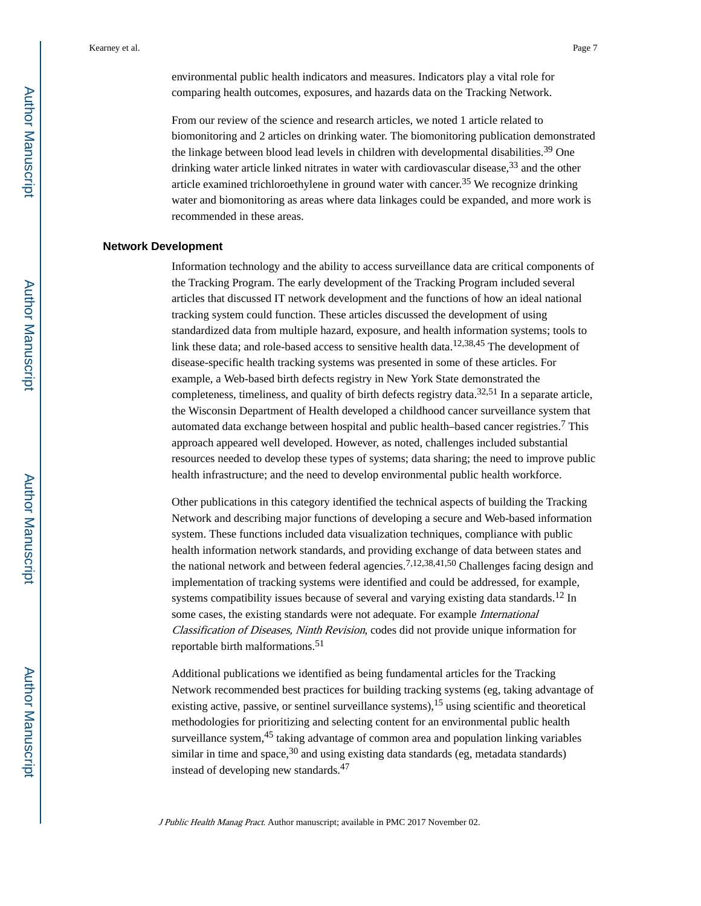environmental public health indicators and measures. Indicators play a vital role for comparing health outcomes, exposures, and hazards data on the Tracking Network.

From our review of the science and research articles, we noted 1 article related to biomonitoring and 2 articles on drinking water. The biomonitoring publication demonstrated the linkage between blood lead levels in children with developmental disabilities.<sup>39</sup> One drinking water article linked nitrates in water with cardiovascular disease,<sup>33</sup> and the other article examined trichloroethylene in ground water with cancer.35 We recognize drinking water and biomonitoring as areas where data linkages could be expanded, and more work is recommended in these areas.

#### **Network Development**

Information technology and the ability to access surveillance data are critical components of the Tracking Program. The early development of the Tracking Program included several articles that discussed IT network development and the functions of how an ideal national tracking system could function. These articles discussed the development of using standardized data from multiple hazard, exposure, and health information systems; tools to link these data; and role-based access to sensitive health data.<sup>12,38,45</sup> The development of disease-specific health tracking systems was presented in some of these articles. For example, a Web-based birth defects registry in New York State demonstrated the completeness, timeliness, and quality of birth defects registry data.<sup>32,51</sup> In a separate article, the Wisconsin Department of Health developed a childhood cancer surveillance system that automated data exchange between hospital and public health–based cancer registries.<sup>7</sup> This approach appeared well developed. However, as noted, challenges included substantial resources needed to develop these types of systems; data sharing; the need to improve public health infrastructure; and the need to develop environmental public health workforce.

Other publications in this category identified the technical aspects of building the Tracking Network and describing major functions of developing a secure and Web-based information system. These functions included data visualization techniques, compliance with public health information network standards, and providing exchange of data between states and the national network and between federal agencies.7,12,38,41,50 Challenges facing design and implementation of tracking systems were identified and could be addressed, for example, systems compatibility issues because of several and varying existing data standards.<sup>12</sup> In some cases, the existing standards were not adequate. For example International Classification of Diseases, Ninth Revision, codes did not provide unique information for reportable birth malformations.<sup>51</sup>

Additional publications we identified as being fundamental articles for the Tracking Network recommended best practices for building tracking systems (eg, taking advantage of existing active, passive, or sentinel surveillance systems), <sup>15</sup> using scientific and theoretical methodologies for prioritizing and selecting content for an environmental public health surveillance system, $45$  taking advantage of common area and population linking variables similar in time and space,  $30$  and using existing data standards (eg, metadata standards) instead of developing new standards.<sup>47</sup>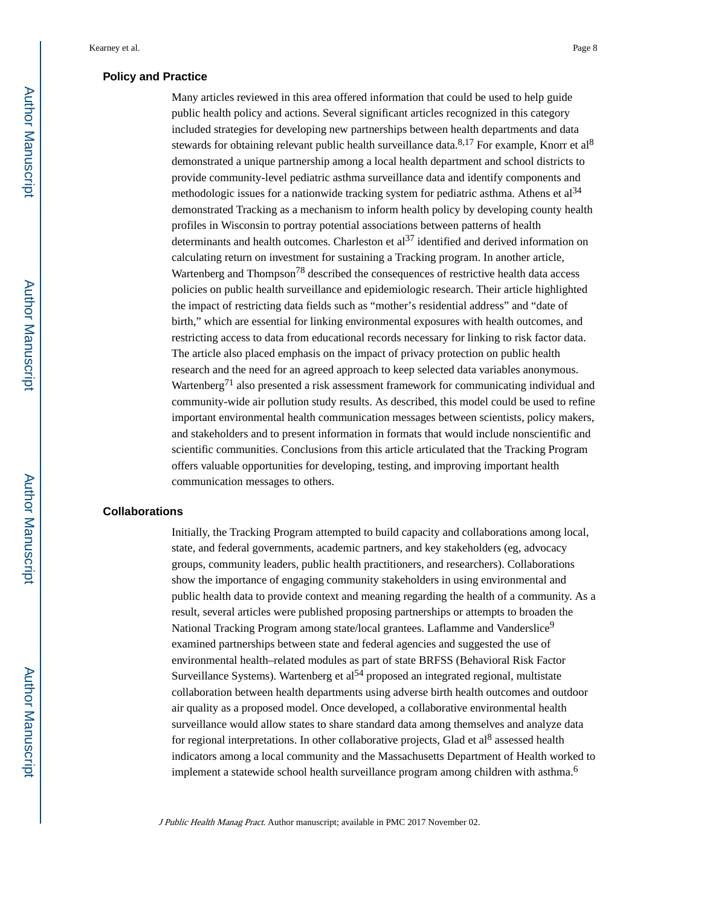#### **Policy and Practice**

Many articles reviewed in this area offered information that could be used to help guide public health policy and actions. Several significant articles recognized in this category included strategies for developing new partnerships between health departments and data stewards for obtaining relevant public health surveillance data. $8,17$  For example, Knorr et al $8$ demonstrated a unique partnership among a local health department and school districts to provide community-level pediatric asthma surveillance data and identify components and methodologic issues for a nationwide tracking system for pediatric asthma. Athens et  $al<sup>34</sup>$ demonstrated Tracking as a mechanism to inform health policy by developing county health profiles in Wisconsin to portray potential associations between patterns of health determinants and health outcomes. Charleston et  $al<sup>37</sup>$  identified and derived information on calculating return on investment for sustaining a Tracking program. In another article, Wartenberg and Thompson<sup>78</sup> described the consequences of restrictive health data access policies on public health surveillance and epidemiologic research. Their article highlighted the impact of restricting data fields such as "mother's residential address" and "date of birth," which are essential for linking environmental exposures with health outcomes, and restricting access to data from educational records necessary for linking to risk factor data. The article also placed emphasis on the impact of privacy protection on public health research and the need for an agreed approach to keep selected data variables anonymous. Wartenberg<sup>71</sup> also presented a risk assessment framework for communicating individual and community-wide air pollution study results. As described, this model could be used to refine important environmental health communication messages between scientists, policy makers, and stakeholders and to present information in formats that would include nonscientific and scientific communities. Conclusions from this article articulated that the Tracking Program offers valuable opportunities for developing, testing, and improving important health communication messages to others.

#### **Collaborations**

Initially, the Tracking Program attempted to build capacity and collaborations among local, state, and federal governments, academic partners, and key stakeholders (eg, advocacy groups, community leaders, public health practitioners, and researchers). Collaborations show the importance of engaging community stakeholders in using environmental and public health data to provide context and meaning regarding the health of a community. As a result, several articles were published proposing partnerships or attempts to broaden the National Tracking Program among state/local grantees. Laflamme and Vanderslice<sup>9</sup> examined partnerships between state and federal agencies and suggested the use of environmental health–related modules as part of state BRFSS (Behavioral Risk Factor Surveillance Systems). Wartenberg et  $al<sup>54</sup>$  proposed an integrated regional, multistate collaboration between health departments using adverse birth health outcomes and outdoor air quality as a proposed model. Once developed, a collaborative environmental health surveillance would allow states to share standard data among themselves and analyze data for regional interpretations. In other collaborative projects, Glad et al<sup>8</sup> assessed health indicators among a local community and the Massachusetts Department of Health worked to implement a statewide school health surveillance program among children with asthma.<sup>6</sup>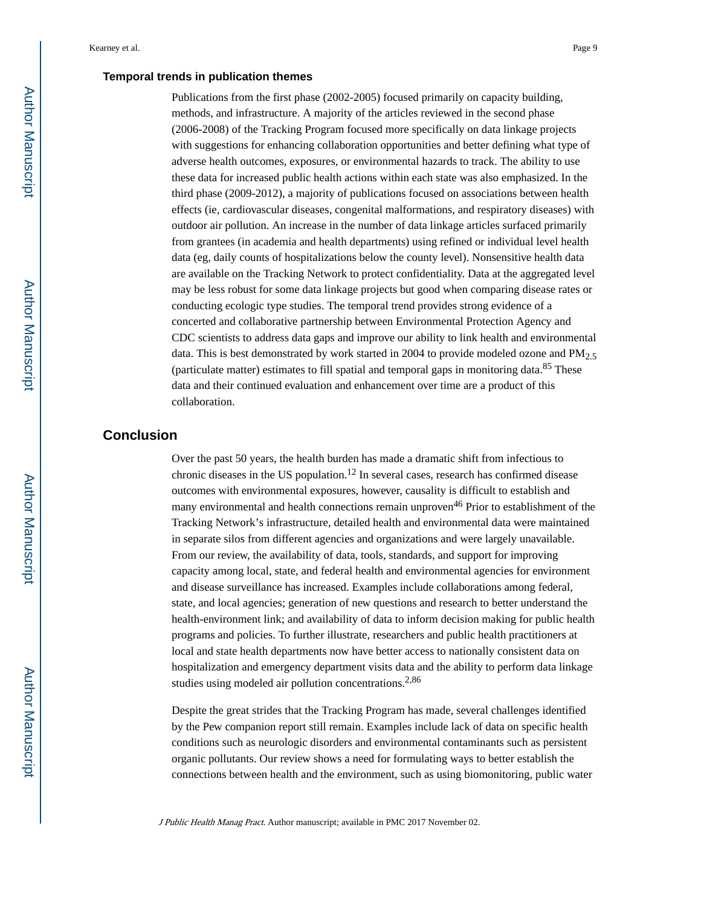#### **Temporal trends in publication themes**

Publications from the first phase (2002-2005) focused primarily on capacity building, methods, and infrastructure. A majority of the articles reviewed in the second phase (2006-2008) of the Tracking Program focused more specifically on data linkage projects with suggestions for enhancing collaboration opportunities and better defining what type of adverse health outcomes, exposures, or environmental hazards to track. The ability to use these data for increased public health actions within each state was also emphasized. In the third phase (2009-2012), a majority of publications focused on associations between health effects (ie, cardiovascular diseases, congenital malformations, and respiratory diseases) with outdoor air pollution. An increase in the number of data linkage articles surfaced primarily from grantees (in academia and health departments) using refined or individual level health data (eg, daily counts of hospitalizations below the county level). Nonsensitive health data are available on the Tracking Network to protect confidentiality. Data at the aggregated level may be less robust for some data linkage projects but good when comparing disease rates or conducting ecologic type studies. The temporal trend provides strong evidence of a concerted and collaborative partnership between Environmental Protection Agency and CDC scientists to address data gaps and improve our ability to link health and environmental data. This is best demonstrated by work started in 2004 to provide modeled ozone and  $PM<sub>2.5</sub>$ (particulate matter) estimates to fill spatial and temporal gaps in monitoring data.85 These data and their continued evaluation and enhancement over time are a product of this collaboration.

# **Conclusion**

Over the past 50 years, the health burden has made a dramatic shift from infectious to chronic diseases in the US population.<sup>12</sup> In several cases, research has confirmed disease outcomes with environmental exposures, however, causality is difficult to establish and many environmental and health connections remain unproven<sup>46</sup> Prior to establishment of the Tracking Network's infrastructure, detailed health and environmental data were maintained in separate silos from different agencies and organizations and were largely unavailable. From our review, the availability of data, tools, standards, and support for improving capacity among local, state, and federal health and environmental agencies for environment and disease surveillance has increased. Examples include collaborations among federal, state, and local agencies; generation of new questions and research to better understand the health-environment link; and availability of data to inform decision making for public health programs and policies. To further illustrate, researchers and public health practitioners at local and state health departments now have better access to nationally consistent data on hospitalization and emergency department visits data and the ability to perform data linkage studies using modeled air pollution concentrations.<sup>2,86</sup>

Despite the great strides that the Tracking Program has made, several challenges identified by the Pew companion report still remain. Examples include lack of data on specific health conditions such as neurologic disorders and environmental contaminants such as persistent organic pollutants. Our review shows a need for formulating ways to better establish the connections between health and the environment, such as using biomonitoring, public water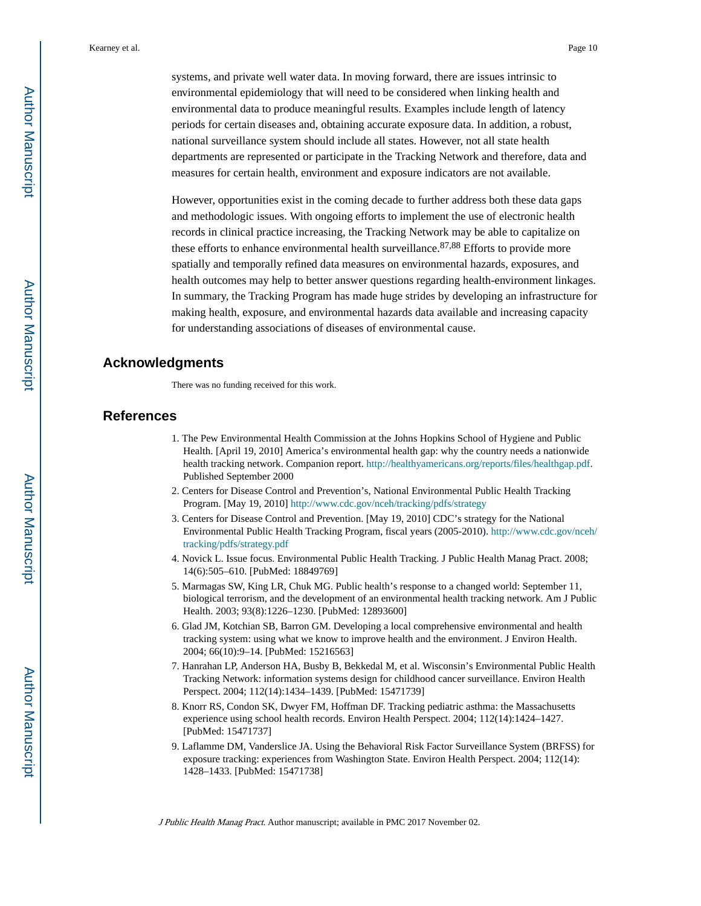systems, and private well water data. In moving forward, there are issues intrinsic to environmental epidemiology that will need to be considered when linking health and environmental data to produce meaningful results. Examples include length of latency periods for certain diseases and, obtaining accurate exposure data. In addition, a robust, national surveillance system should include all states. However, not all state health departments are represented or participate in the Tracking Network and therefore, data and

However, opportunities exist in the coming decade to further address both these data gaps and methodologic issues. With ongoing efforts to implement the use of electronic health records in clinical practice increasing, the Tracking Network may be able to capitalize on these efforts to enhance environmental health surveillance.  $87,88$  Efforts to provide more spatially and temporally refined data measures on environmental hazards, exposures, and health outcomes may help to better answer questions regarding health-environment linkages. In summary, the Tracking Program has made huge strides by developing an infrastructure for making health, exposure, and environmental hazards data available and increasing capacity for understanding associations of diseases of environmental cause.

measures for certain health, environment and exposure indicators are not available.

# **Acknowledgments**

There was no funding received for this work.

#### **References**

- 1. The Pew Environmental Health Commission at the Johns Hopkins School of Hygiene and Public Health. [April 19, 2010] America's environmental health gap: why the country needs a nationwide health tracking network. Companion report. [http://healthyamericans.org/reports/files/healthgap.pdf.](http://healthyamericans.org/reports/files/healthgap.pdf) Published September 2000
- 2. Centers for Disease Control and Prevention's, National Environmental Public Health Tracking Program. [May 19, 2010] <http://www.cdc.gov/nceh/tracking/pdfs/strategy>
- 3. Centers for Disease Control and Prevention. [May 19, 2010] CDC's strategy for the National Environmental Public Health Tracking Program, fiscal years (2005-2010). [http://www.cdc.gov/nceh/](http://www.cdc.gov/nceh/tracking/pdfs/strategy.pdf) [tracking/pdfs/strategy.pdf](http://www.cdc.gov/nceh/tracking/pdfs/strategy.pdf)
- 4. Novick L. Issue focus. Environmental Public Health Tracking. J Public Health Manag Pract. 2008; 14(6):505–610. [PubMed: 18849769]
- 5. Marmagas SW, King LR, Chuk MG. Public health's response to a changed world: September 11, biological terrorism, and the development of an environmental health tracking network. Am J Public Health. 2003; 93(8):1226–1230. [PubMed: 12893600]
- 6. Glad JM, Kotchian SB, Barron GM. Developing a local comprehensive environmental and health tracking system: using what we know to improve health and the environment. J Environ Health. 2004; 66(10):9–14. [PubMed: 15216563]
- 7. Hanrahan LP, Anderson HA, Busby B, Bekkedal M, et al. Wisconsin's Environmental Public Health Tracking Network: information systems design for childhood cancer surveillance. Environ Health Perspect. 2004; 112(14):1434–1439. [PubMed: 15471739]
- 8. Knorr RS, Condon SK, Dwyer FM, Hoffman DF. Tracking pediatric asthma: the Massachusetts experience using school health records. Environ Health Perspect. 2004; 112(14):1424–1427. [PubMed: 15471737]
- 9. Laflamme DM, Vanderslice JA. Using the Behavioral Risk Factor Surveillance System (BRFSS) for exposure tracking: experiences from Washington State. Environ Health Perspect. 2004; 112(14): 1428–1433. [PubMed: 15471738]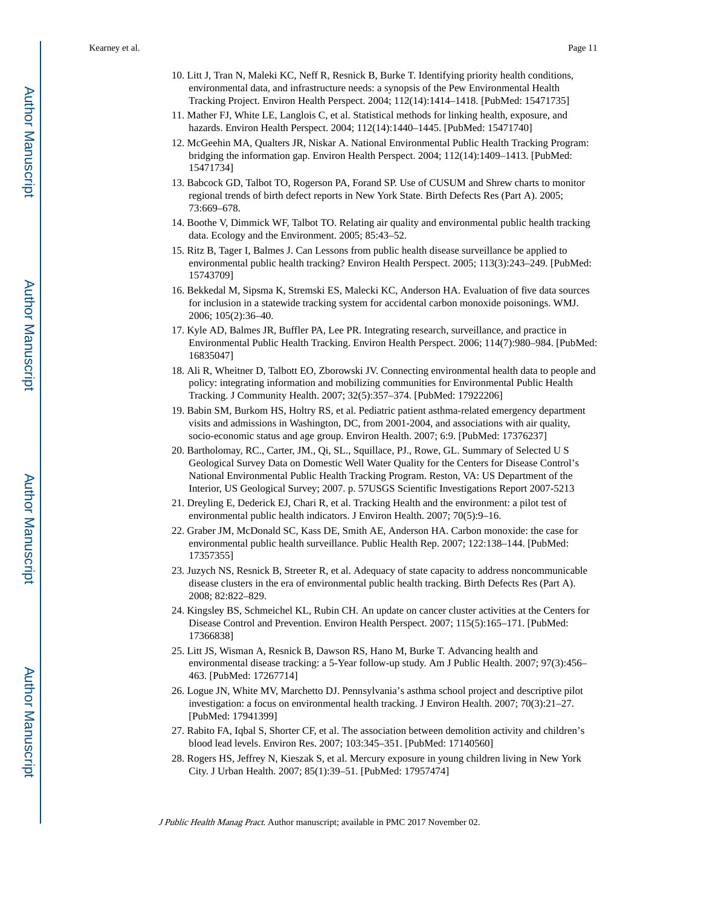- 10. Litt J, Tran N, Maleki KC, Neff R, Resnick B, Burke T. Identifying priority health conditions, environmental data, and infrastructure needs: a synopsis of the Pew Environmental Health Tracking Project. Environ Health Perspect. 2004; 112(14):1414–1418. [PubMed: 15471735]
- 11. Mather FJ, White LE, Langlois C, et al. Statistical methods for linking health, exposure, and hazards. Environ Health Perspect. 2004; 112(14):1440–1445. [PubMed: 15471740]
- 12. McGeehin MA, Qualters JR, Niskar A. National Environmental Public Health Tracking Program: bridging the information gap. Environ Health Perspect. 2004; 112(14):1409–1413. [PubMed: 15471734]
- 13. Babcock GD, Talbot TO, Rogerson PA, Forand SP. Use of CUSUM and Shrew charts to monitor regional trends of birth defect reports in New York State. Birth Defects Res (Part A). 2005; 73:669–678.
- 14. Boothe V, Dimmick WF, Talbot TO. Relating air quality and environmental public health tracking data. Ecology and the Environment. 2005; 85:43–52.
- 15. Ritz B, Tager I, Balmes J. Can Lessons from public health disease surveillance be applied to environmental public health tracking? Environ Health Perspect. 2005; 113(3):243–249. [PubMed: 15743709]
- 16. Bekkedal M, Sipsma K, Stremski ES, Malecki KC, Anderson HA. Evaluation of five data sources for inclusion in a statewide tracking system for accidental carbon monoxide poisonings. WMJ. 2006; 105(2):36–40.
- 17. Kyle AD, Balmes JR, Buffler PA, Lee PR. Integrating research, surveillance, and practice in Environmental Public Health Tracking. Environ Health Perspect. 2006; 114(7):980–984. [PubMed: 16835047]
- 18. Ali R, Wheitner D, Talbott EO, Zborowski JV. Connecting environmental health data to people and policy: integrating information and mobilizing communities for Environmental Public Health Tracking. J Community Health. 2007; 32(5):357–374. [PubMed: 17922206]
- 19. Babin SM, Burkom HS, Holtry RS, et al. Pediatric patient asthma-related emergency department visits and admissions in Washington, DC, from 2001-2004, and associations with air quality, socio-economic status and age group. Environ Health. 2007; 6:9. [PubMed: 17376237]
- 20. Bartholomay, RC., Carter, JM., Qi, SL., Squillace, PJ., Rowe, GL. Summary of Selected U S Geological Survey Data on Domestic Well Water Quality for the Centers for Disease Control's National Environmental Public Health Tracking Program. Reston, VA: US Department of the Interior, US Geological Survey; 2007. p. 57USGS Scientific Investigations Report 2007-5213
- 21. Dreyling E, Dederick EJ, Chari R, et al. Tracking Health and the environment: a pilot test of environmental public health indicators. J Environ Health. 2007; 70(5):9–16.
- 22. Graber JM, McDonald SC, Kass DE, Smith AE, Anderson HA. Carbon monoxide: the case for environmental public health surveillance. Public Health Rep. 2007; 122:138–144. [PubMed: 17357355]
- 23. Juzych NS, Resnick B, Streeter R, et al. Adequacy of state capacity to address noncommunicable disease clusters in the era of environmental public health tracking. Birth Defects Res (Part A). 2008; 82:822–829.
- 24. Kingsley BS, Schmeichel KL, Rubin CH. An update on cancer cluster activities at the Centers for Disease Control and Prevention. Environ Health Perspect. 2007; 115(5):165–171. [PubMed: 17366838]
- 25. Litt JS, Wisman A, Resnick B, Dawson RS, Hano M, Burke T. Advancing health and environmental disease tracking: a 5-Year follow-up study. Am J Public Health. 2007; 97(3):456– 463. [PubMed: 17267714]
- 26. Logue JN, White MV, Marchetto DJ. Pennsylvania's asthma school project and descriptive pilot investigation: a focus on environmental health tracking. J Environ Health. 2007; 70(3):21–27. [PubMed: 17941399]
- 27. Rabito FA, Iqbal S, Shorter CF, et al. The association between demolition activity and children's blood lead levels. Environ Res. 2007; 103:345–351. [PubMed: 17140560]
- 28. Rogers HS, Jeffrey N, Kieszak S, et al. Mercury exposure in young children living in New York City. J Urban Health. 2007; 85(1):39–51. [PubMed: 17957474]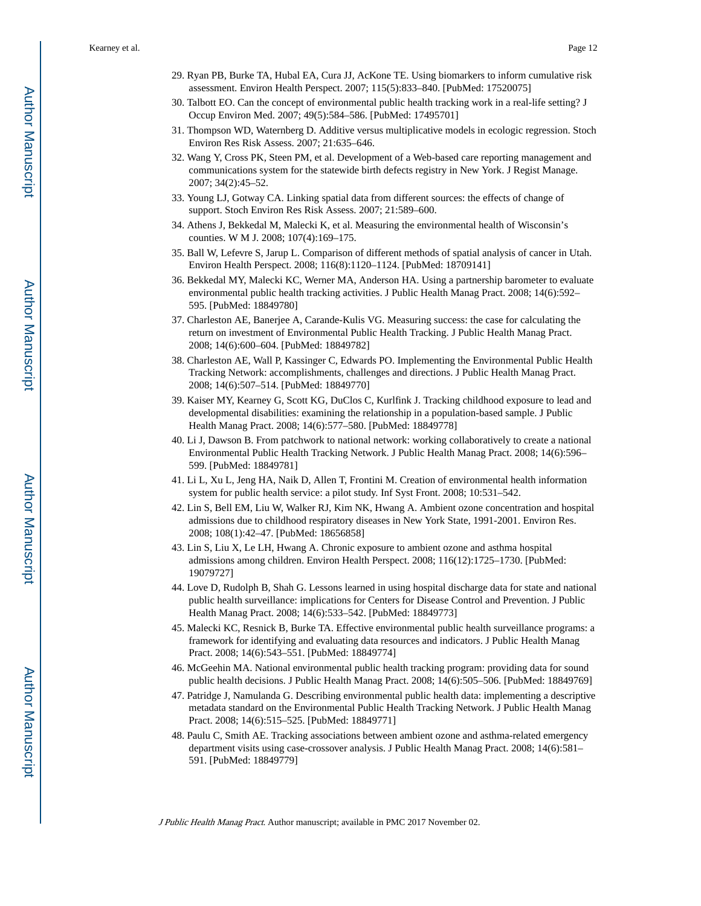- 29. Ryan PB, Burke TA, Hubal EA, Cura JJ, AcKone TE. Using biomarkers to inform cumulative risk assessment. Environ Health Perspect. 2007; 115(5):833–840. [PubMed: 17520075]
- 30. Talbott EO. Can the concept of environmental public health tracking work in a real-life setting? J Occup Environ Med. 2007; 49(5):584–586. [PubMed: 17495701]
- 31. Thompson WD, Waternberg D. Additive versus multiplicative models in ecologic regression. Stoch Environ Res Risk Assess. 2007; 21:635–646.
- 32. Wang Y, Cross PK, Steen PM, et al. Development of a Web-based care reporting management and communications system for the statewide birth defects registry in New York. J Regist Manage. 2007; 34(2):45–52.
- 33. Young LJ, Gotway CA. Linking spatial data from different sources: the effects of change of support. Stoch Environ Res Risk Assess. 2007; 21:589–600.
- 34. Athens J, Bekkedal M, Malecki K, et al. Measuring the environmental health of Wisconsin's counties. W M J. 2008; 107(4):169–175.
- 35. Ball W, Lefevre S, Jarup L. Comparison of different methods of spatial analysis of cancer in Utah. Environ Health Perspect. 2008; 116(8):1120–1124. [PubMed: 18709141]
- 36. Bekkedal MY, Malecki KC, Werner MA, Anderson HA. Using a partnership barometer to evaluate environmental public health tracking activities. J Public Health Manag Pract. 2008; 14(6):592– 595. [PubMed: 18849780]
- 37. Charleston AE, Banerjee A, Carande-Kulis VG. Measuring success: the case for calculating the return on investment of Environmental Public Health Tracking. J Public Health Manag Pract. 2008; 14(6):600–604. [PubMed: 18849782]
- 38. Charleston AE, Wall P, Kassinger C, Edwards PO. Implementing the Environmental Public Health Tracking Network: accomplishments, challenges and directions. J Public Health Manag Pract. 2008; 14(6):507–514. [PubMed: 18849770]
- 39. Kaiser MY, Kearney G, Scott KG, DuClos C, Kurlfink J. Tracking childhood exposure to lead and developmental disabilities: examining the relationship in a population-based sample. J Public Health Manag Pract. 2008; 14(6):577–580. [PubMed: 18849778]
- 40. Li J, Dawson B. From patchwork to national network: working collaboratively to create a national Environmental Public Health Tracking Network. J Public Health Manag Pract. 2008; 14(6):596– 599. [PubMed: 18849781]
- 41. Li L, Xu L, Jeng HA, Naik D, Allen T, Frontini M. Creation of environmental health information system for public health service: a pilot study. Inf Syst Front. 2008; 10:531–542.
- 42. Lin S, Bell EM, Liu W, Walker RJ, Kim NK, Hwang A. Ambient ozone concentration and hospital admissions due to childhood respiratory diseases in New York State, 1991-2001. Environ Res. 2008; 108(1):42–47. [PubMed: 18656858]
- 43. Lin S, Liu X, Le LH, Hwang A. Chronic exposure to ambient ozone and asthma hospital admissions among children. Environ Health Perspect. 2008; 116(12):1725–1730. [PubMed: 19079727]
- 44. Love D, Rudolph B, Shah G. Lessons learned in using hospital discharge data for state and national public health surveillance: implications for Centers for Disease Control and Prevention. J Public Health Manag Pract. 2008; 14(6):533–542. [PubMed: 18849773]
- 45. Malecki KC, Resnick B, Burke TA. Effective environmental public health surveillance programs: a framework for identifying and evaluating data resources and indicators. J Public Health Manag Pract. 2008; 14(6):543–551. [PubMed: 18849774]
- 46. McGeehin MA. National environmental public health tracking program: providing data for sound public health decisions. J Public Health Manag Pract. 2008; 14(6):505–506. [PubMed: 18849769]
- 47. Patridge J, Namulanda G. Describing environmental public health data: implementing a descriptive metadata standard on the Environmental Public Health Tracking Network. J Public Health Manag Pract. 2008; 14(6):515–525. [PubMed: 18849771]
- 48. Paulu C, Smith AE. Tracking associations between ambient ozone and asthma-related emergency department visits using case-crossover analysis. J Public Health Manag Pract. 2008; 14(6):581– 591. [PubMed: 18849779]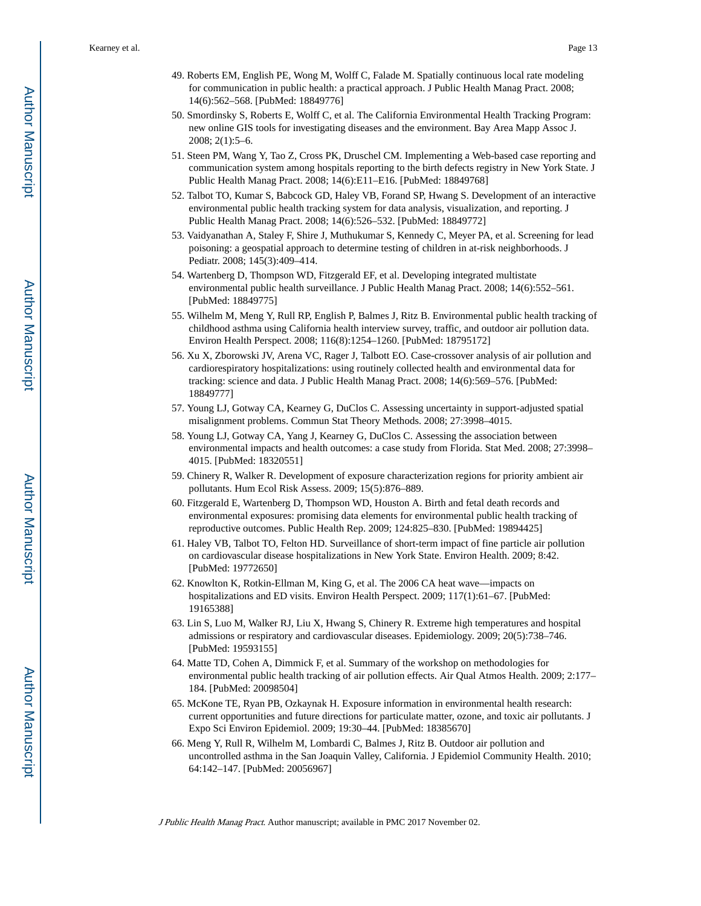- 49. Roberts EM, English PE, Wong M, Wolff C, Falade M. Spatially continuous local rate modeling for communication in public health: a practical approach. J Public Health Manag Pract. 2008; 14(6):562–568. [PubMed: 18849776]
- 50. Smordinsky S, Roberts E, Wolff C, et al. The California Environmental Health Tracking Program: new online GIS tools for investigating diseases and the environment. Bay Area Mapp Assoc J. 2008; 2(1):5–6.
- 51. Steen PM, Wang Y, Tao Z, Cross PK, Druschel CM. Implementing a Web-based case reporting and communication system among hospitals reporting to the birth defects registry in New York State. J Public Health Manag Pract. 2008; 14(6):E11–E16. [PubMed: 18849768]
- 52. Talbot TO, Kumar S, Babcock GD, Haley VB, Forand SP, Hwang S. Development of an interactive environmental public health tracking system for data analysis, visualization, and reporting. J Public Health Manag Pract. 2008; 14(6):526–532. [PubMed: 18849772]
- 53. Vaidyanathan A, Staley F, Shire J, Muthukumar S, Kennedy C, Meyer PA, et al. Screening for lead poisoning: a geospatial approach to determine testing of children in at-risk neighborhoods. J Pediatr. 2008; 145(3):409–414.
- 54. Wartenberg D, Thompson WD, Fitzgerald EF, et al. Developing integrated multistate environmental public health surveillance. J Public Health Manag Pract. 2008; 14(6):552–561. [PubMed: 18849775]
- 55. Wilhelm M, Meng Y, Rull RP, English P, Balmes J, Ritz B. Environmental public health tracking of childhood asthma using California health interview survey, traffic, and outdoor air pollution data. Environ Health Perspect. 2008; 116(8):1254–1260. [PubMed: 18795172]
- 56. Xu X, Zborowski JV, Arena VC, Rager J, Talbott EO. Case-crossover analysis of air pollution and cardiorespiratory hospitalizations: using routinely collected health and environmental data for tracking: science and data. J Public Health Manag Pract. 2008; 14(6):569–576. [PubMed: 18849777]
- 57. Young LJ, Gotway CA, Kearney G, DuClos C. Assessing uncertainty in support-adjusted spatial misalignment problems. Commun Stat Theory Methods. 2008; 27:3998–4015.
- 58. Young LJ, Gotway CA, Yang J, Kearney G, DuClos C. Assessing the association between environmental impacts and health outcomes: a case study from Florida. Stat Med. 2008; 27:3998– 4015. [PubMed: 18320551]
- 59. Chinery R, Walker R. Development of exposure characterization regions for priority ambient air pollutants. Hum Ecol Risk Assess. 2009; 15(5):876–889.
- 60. Fitzgerald E, Wartenberg D, Thompson WD, Houston A. Birth and fetal death records and environmental exposures: promising data elements for environmental public health tracking of reproductive outcomes. Public Health Rep. 2009; 124:825–830. [PubMed: 19894425]
- 61. Haley VB, Talbot TO, Felton HD. Surveillance of short-term impact of fine particle air pollution on cardiovascular disease hospitalizations in New York State. Environ Health. 2009; 8:42. [PubMed: 19772650]
- 62. Knowlton K, Rotkin-Ellman M, King G, et al. The 2006 CA heat wave—impacts on hospitalizations and ED visits. Environ Health Perspect. 2009; 117(1):61–67. [PubMed: 19165388]
- 63. Lin S, Luo M, Walker RJ, Liu X, Hwang S, Chinery R. Extreme high temperatures and hospital admissions or respiratory and cardiovascular diseases. Epidemiology. 2009; 20(5):738–746. [PubMed: 19593155]
- 64. Matte TD, Cohen A, Dimmick F, et al. Summary of the workshop on methodologies for environmental public health tracking of air pollution effects. Air Qual Atmos Health. 2009; 2:177– 184. [PubMed: 20098504]
- 65. McKone TE, Ryan PB, Ozkaynak H. Exposure information in environmental health research: current opportunities and future directions for particulate matter, ozone, and toxic air pollutants. J Expo Sci Environ Epidemiol. 2009; 19:30–44. [PubMed: 18385670]
- 66. Meng Y, Rull R, Wilhelm M, Lombardi C, Balmes J, Ritz B. Outdoor air pollution and uncontrolled asthma in the San Joaquin Valley, California. J Epidemiol Community Health. 2010; 64:142–147. [PubMed: 20056967]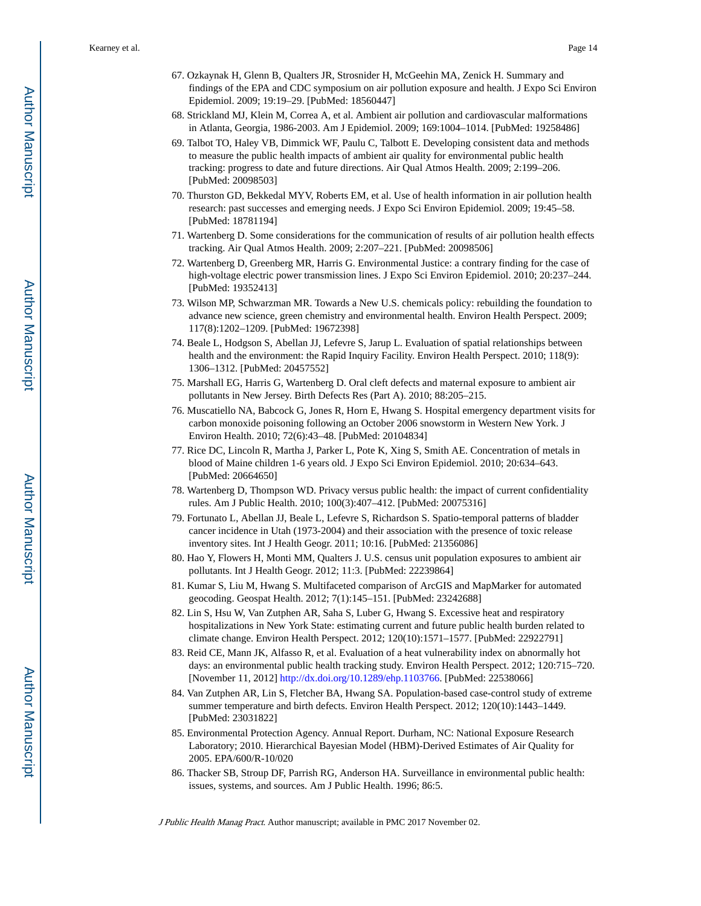- 67. Ozkaynak H, Glenn B, Qualters JR, Strosnider H, McGeehin MA, Zenick H. Summary and findings of the EPA and CDC symposium on air pollution exposure and health. J Expo Sci Environ Epidemiol. 2009; 19:19–29. [PubMed: 18560447]
- 68. Strickland MJ, Klein M, Correa A, et al. Ambient air pollution and cardiovascular malformations in Atlanta, Georgia, 1986-2003. Am J Epidemiol. 2009; 169:1004–1014. [PubMed: 19258486]
- 69. Talbot TO, Haley VB, Dimmick WF, Paulu C, Talbott E. Developing consistent data and methods to measure the public health impacts of ambient air quality for environmental public health tracking: progress to date and future directions. Air Qual Atmos Health. 2009; 2:199–206. [PubMed: 20098503]
- 70. Thurston GD, Bekkedal MYV, Roberts EM, et al. Use of health information in air pollution health research: past successes and emerging needs. J Expo Sci Environ Epidemiol. 2009; 19:45–58. [PubMed: 18781194]
- 71. Wartenberg D. Some considerations for the communication of results of air pollution health effects tracking. Air Qual Atmos Health. 2009; 2:207–221. [PubMed: 20098506]
- 72. Wartenberg D, Greenberg MR, Harris G. Environmental Justice: a contrary finding for the case of high-voltage electric power transmission lines. J Expo Sci Environ Epidemiol. 2010; 20:237–244. [PubMed: 19352413]
- 73. Wilson MP, Schwarzman MR. Towards a New U.S. chemicals policy: rebuilding the foundation to advance new science, green chemistry and environmental health. Environ Health Perspect. 2009; 117(8):1202–1209. [PubMed: 19672398]
- 74. Beale L, Hodgson S, Abellan JJ, Lefevre S, Jarup L. Evaluation of spatial relationships between health and the environment: the Rapid Inquiry Facility. Environ Health Perspect. 2010; 118(9): 1306–1312. [PubMed: 20457552]
- 75. Marshall EG, Harris G, Wartenberg D. Oral cleft defects and maternal exposure to ambient air pollutants in New Jersey. Birth Defects Res (Part A). 2010; 88:205–215.
- 76. Muscatiello NA, Babcock G, Jones R, Horn E, Hwang S. Hospital emergency department visits for carbon monoxide poisoning following an October 2006 snowstorm in Western New York. J Environ Health. 2010; 72(6):43–48. [PubMed: 20104834]
- 77. Rice DC, Lincoln R, Martha J, Parker L, Pote K, Xing S, Smith AE. Concentration of metals in blood of Maine children 1-6 years old. J Expo Sci Environ Epidemiol. 2010; 20:634–643. [PubMed: 20664650]
- 78. Wartenberg D, Thompson WD. Privacy versus public health: the impact of current confidentiality rules. Am J Public Health. 2010; 100(3):407–412. [PubMed: 20075316]
- 79. Fortunato L, Abellan JJ, Beale L, Lefevre S, Richardson S. Spatio-temporal patterns of bladder cancer incidence in Utah (1973-2004) and their association with the presence of toxic release inventory sites. Int J Health Geogr. 2011; 10:16. [PubMed: 21356086]
- 80. Hao Y, Flowers H, Monti MM, Qualters J. U.S. census unit population exposures to ambient air pollutants. Int J Health Geogr. 2012; 11:3. [PubMed: 22239864]
- 81. Kumar S, Liu M, Hwang S. Multifaceted comparison of ArcGIS and MapMarker for automated geocoding. Geospat Health. 2012; 7(1):145–151. [PubMed: 23242688]
- 82. Lin S, Hsu W, Van Zutphen AR, Saha S, Luber G, Hwang S. Excessive heat and respiratory hospitalizations in New York State: estimating current and future public health burden related to climate change. Environ Health Perspect. 2012; 120(10):1571–1577. [PubMed: 22922791]
- 83. Reid CE, Mann JK, Alfasso R, et al. Evaluation of a heat vulnerability index on abnormally hot days: an environmental public health tracking study. Environ Health Perspect. 2012; 120:715–720. [November 11, 2012] <http://dx.doi.org/10.1289/ehp.1103766>. [PubMed: 22538066]
- 84. Van Zutphen AR, Lin S, Fletcher BA, Hwang SA. Population-based case-control study of extreme summer temperature and birth defects. Environ Health Perspect. 2012; 120(10):1443–1449. [PubMed: 23031822]
- 85. Environmental Protection Agency. Annual Report. Durham, NC: National Exposure Research Laboratory; 2010. Hierarchical Bayesian Model (HBM)-Derived Estimates of Air Quality for 2005. EPA/600/R-10/020
- 86. Thacker SB, Stroup DF, Parrish RG, Anderson HA. Surveillance in environmental public health: issues, systems, and sources. Am J Public Health. 1996; 86:5.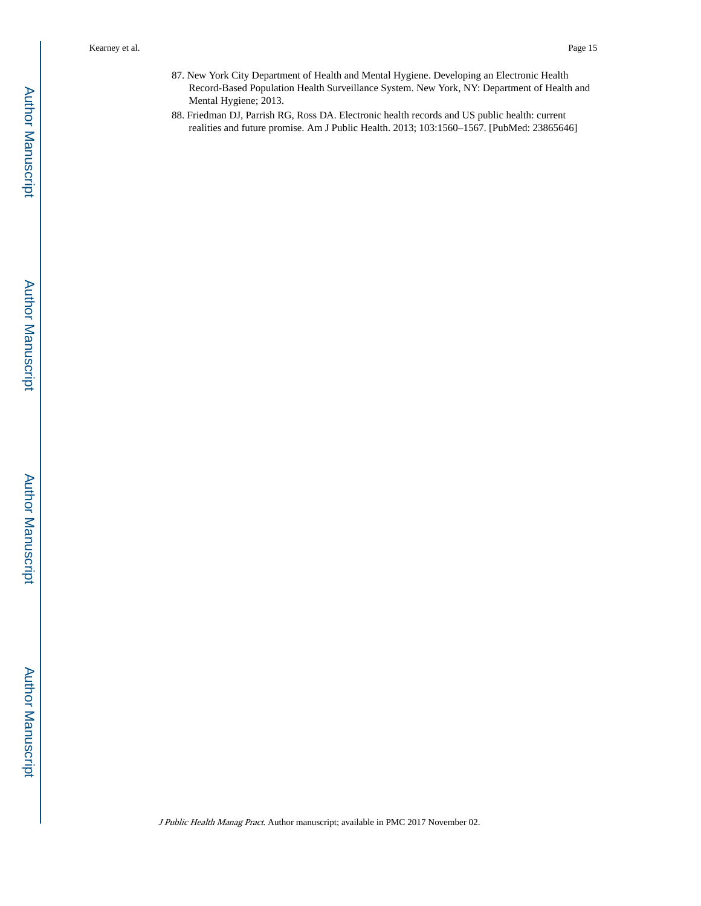- 87. New York City Department of Health and Mental Hygiene. Developing an Electronic Health Record-Based Population Health Surveillance System. New York, NY: Department of Health and Mental Hygiene; 2013.
- 88. Friedman DJ, Parrish RG, Ross DA. Electronic health records and US public health: current realities and future promise. Am J Public Health. 2013; 103:1560–1567. [PubMed: 23865646]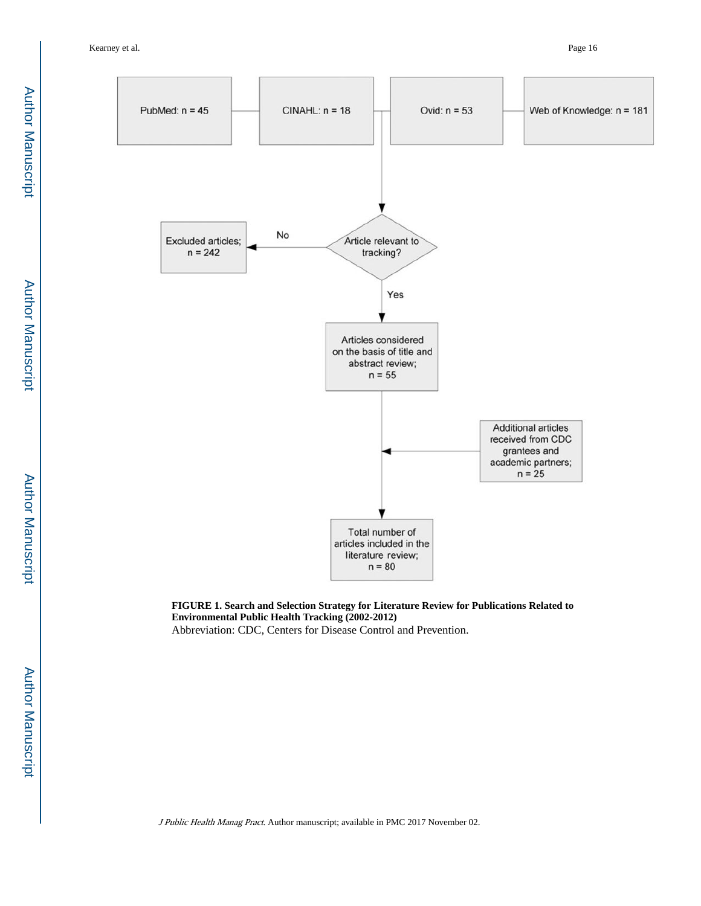Author Manuscript

Author Manuscript

Author Manuscript

Author Manuscript

Author Manuscript

Author Manuscript

Author Manuscript

Author Manuscript



**FIGURE 1. Search and Selection Strategy for Literature Review for Publications Related to Environmental Public Health Tracking (2002-2012)** Abbreviation: CDC, Centers for Disease Control and Prevention.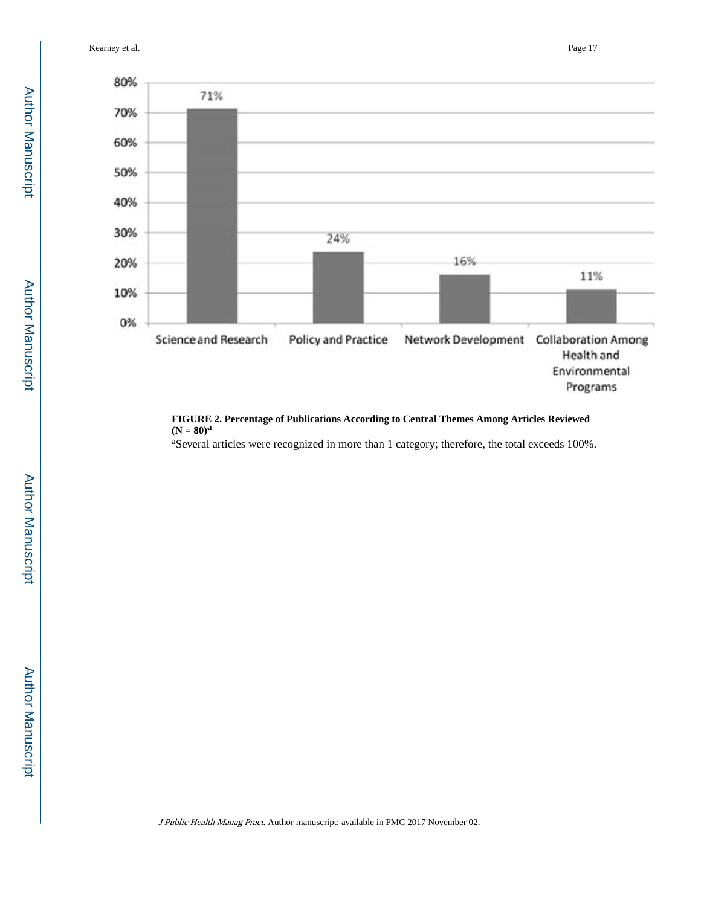Kearney et al. Page 17



#### **FIGURE 2. Percentage of Publications According to Central Themes Among Articles Reviewed**   $(N = 80)^{a}$

<sup>a</sup>Several articles were recognized in more than 1 category; therefore, the total exceeds 100%.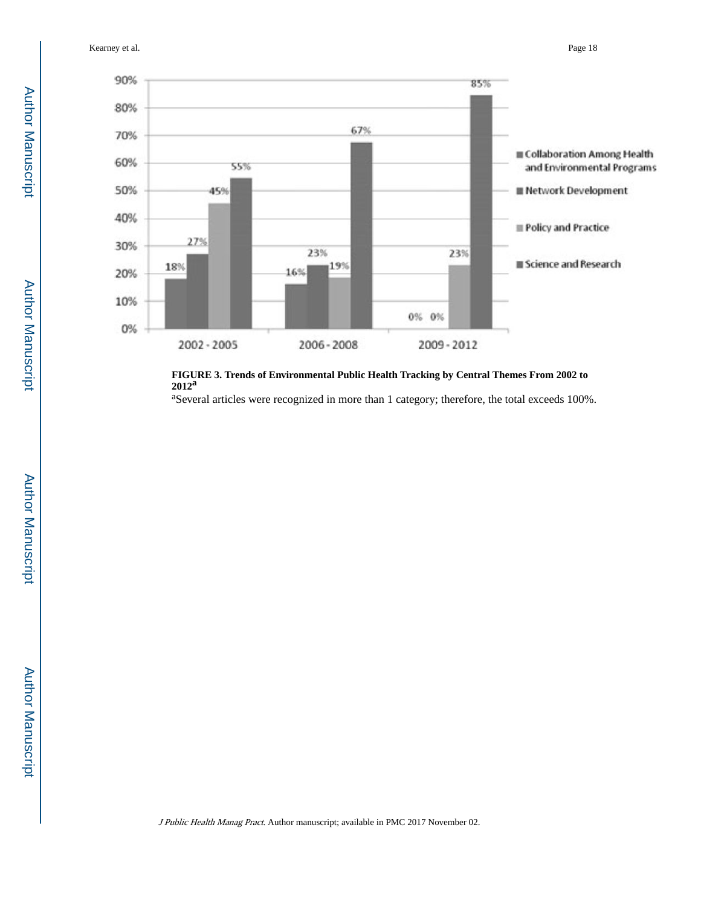Kearney et al. Page 18



**FIGURE 3. Trends of Environmental Public Health Tracking by Central Themes From 2002 to 2012<sup>a</sup>**

<sup>a</sup>Several articles were recognized in more than 1 category; therefore, the total exceeds 100%.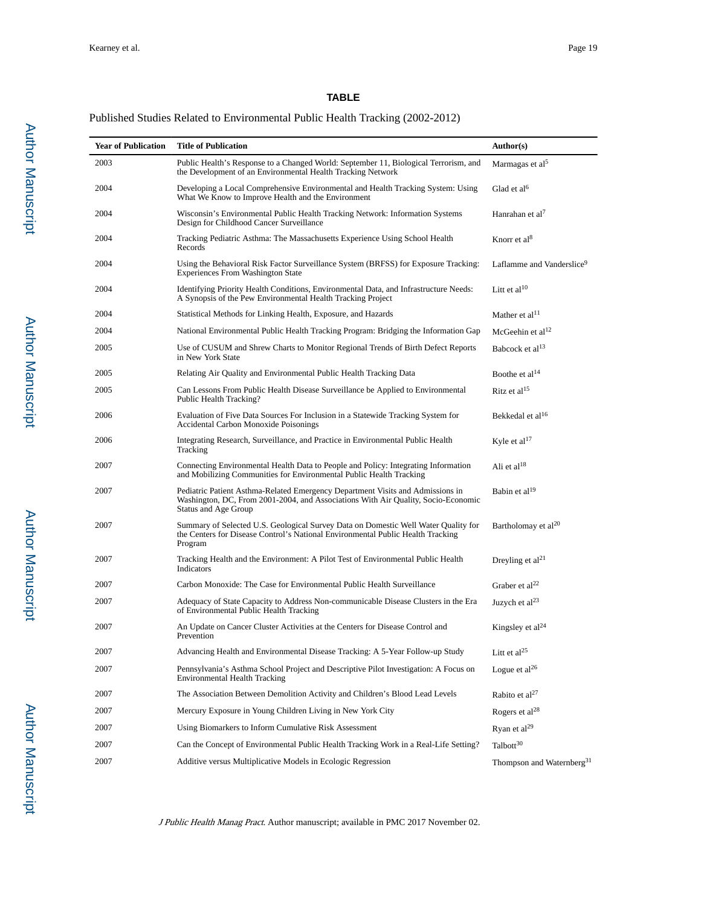# **TABLE**

# Published Studies Related to Environmental Public Health Tracking (2002-2012)

| <b>Year of Publication</b> | <b>Title of Publication</b>                                                                                                                                                                 | Author(s)                             |
|----------------------------|---------------------------------------------------------------------------------------------------------------------------------------------------------------------------------------------|---------------------------------------|
| 2003                       | Public Health's Response to a Changed World: September 11, Biological Terrorism, and<br>the Development of an Environmental Health Tracking Network                                         | Marmagas et al <sup>5</sup>           |
| 2004                       | Developing a Local Comprehensive Environmental and Health Tracking System: Using<br>What We Know to Improve Health and the Environment                                                      | Glad et al $6$                        |
| 2004                       | Wisconsin's Environmental Public Health Tracking Network: Information Systems<br>Design for Childhood Cancer Surveillance                                                                   | Hanrahan et al <sup>7</sup>           |
| 2004                       | Tracking Pediatric Asthma: The Massachusetts Experience Using School Health<br>Records                                                                                                      | Knorr et al <sup>8</sup>              |
| 2004                       | Using the Behavioral Risk Factor Surveillance System (BRFSS) for Exposure Tracking:<br><b>Experiences From Washington State</b>                                                             | Laflamme and Vanderslice <sup>9</sup> |
| 2004                       | Identifying Priority Health Conditions, Environmental Data, and Infrastructure Needs:<br>A Synopsis of the Pew Environmental Health Tracking Project                                        | Litt et al $10$                       |
| 2004                       | Statistical Methods for Linking Health, Exposure, and Hazards                                                                                                                               | Mather et al <sup>11</sup>            |
| 2004                       | National Environmental Public Health Tracking Program: Bridging the Information Gap                                                                                                         | McGeehin et al <sup>12</sup>          |
| 2005                       | Use of CUSUM and Shrew Charts to Monitor Regional Trends of Birth Defect Reports<br>in New York State                                                                                       | Babcock et al <sup>13</sup>           |
| 2005                       | Relating Air Quality and Environmental Public Health Tracking Data                                                                                                                          | Boothe et $al14$                      |
| 2005                       | Can Lessons From Public Health Disease Surveillance be Applied to Environmental<br>Public Health Tracking?                                                                                  | Ritz et al <sup>15</sup>              |
| 2006                       | Evaluation of Five Data Sources For Inclusion in a Statewide Tracking System for<br><b>Accidental Carbon Monoxide Poisonings</b>                                                            | Bekkedal et al <sup>16</sup>          |
| 2006                       | Integrating Research, Surveillance, and Practice in Environmental Public Health<br>Tracking                                                                                                 | Kyle et al $17$                       |
| 2007                       | Connecting Environmental Health Data to People and Policy: Integrating Information<br>and Mobilizing Communities for Environmental Public Health Tracking                                   | Ali et al $18$                        |
| 2007                       | Pediatric Patient Asthma-Related Emergency Department Visits and Admissions in<br>Washington, DC, From 2001-2004, and Associations With Air Quality, Socio-Economic<br>Status and Age Group | Babin et al <sup>19</sup>             |
| 2007                       | Summary of Selected U.S. Geological Survey Data on Domestic Well Water Quality for<br>the Centers for Disease Control's National Environmental Public Health Tracking<br>Program            | Bartholomay et al <sup>20</sup>       |
| 2007                       | Tracking Health and the Environment: A Pilot Test of Environmental Public Health<br>Indicators                                                                                              | Dreyling et $al21$                    |
| 2007                       | Carbon Monoxide: The Case for Environmental Public Health Surveillance                                                                                                                      | Graber et al <sup>22</sup>            |
| 2007                       | Adequacy of State Capacity to Address Non-communicable Disease Clusters in the Era<br>of Environmental Public Health Tracking                                                               | Juzych et $al23$                      |
| 2007                       | An Update on Cancer Cluster Activities at the Centers for Disease Control and<br>Prevention                                                                                                 | Kingsley et $al24$                    |
| 2007                       | Advancing Health and Environmental Disease Tracking: A 5-Year Follow-up Study                                                                                                               | Litt et al $^{25}$                    |
| 2007                       | Pennsylvania's Asthma School Project and Descriptive Pilot Investigation: A Focus on<br><b>Environmental Health Tracking</b>                                                                | Logue et $al^{26}$                    |
| 2007                       | The Association Between Demolition Activity and Children's Blood Lead Levels                                                                                                                | Rabito et $al27$                      |
| 2007                       | Mercury Exposure in Young Children Living in New York City                                                                                                                                  | Rogers et al <sup>28</sup>            |
| 2007                       | Using Biomarkers to Inform Cumulative Risk Assessment                                                                                                                                       | Ryan et $al^{29}$                     |
| 2007                       | Can the Concept of Environmental Public Health Tracking Work in a Real-Life Setting?                                                                                                        | Talbott <sup>30</sup>                 |
| 2007                       | Additive versus Multiplicative Models in Ecologic Regression                                                                                                                                | Thompson and Waternberg <sup>31</sup> |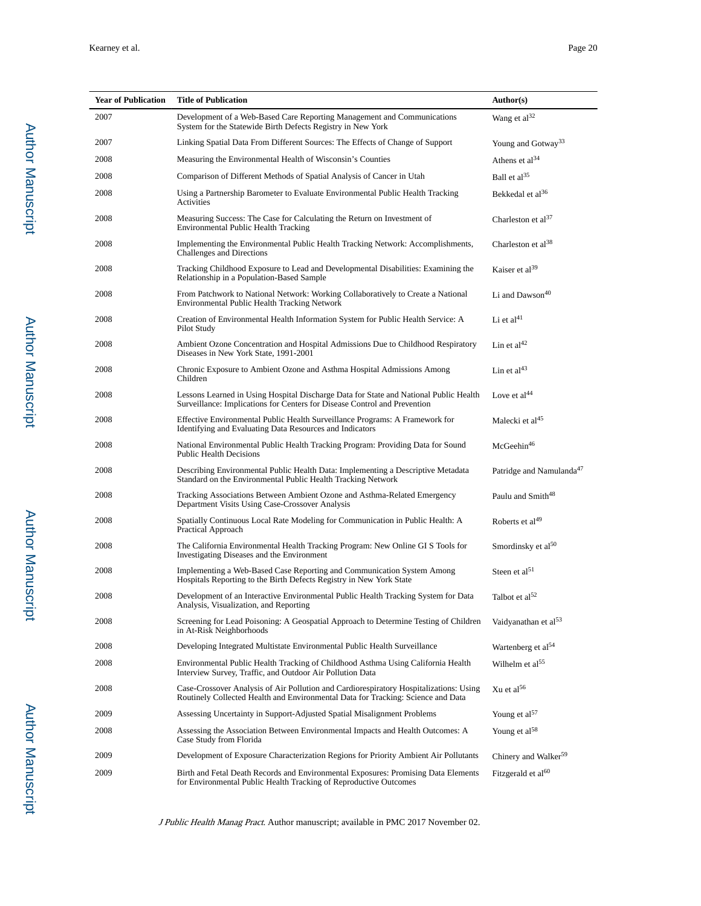| <b>Year of Publication</b> | <b>Title of Publication</b>                                                                                                                                                | Author(s)                            |
|----------------------------|----------------------------------------------------------------------------------------------------------------------------------------------------------------------------|--------------------------------------|
| 2007                       | Development of a Web-Based Care Reporting Management and Communications<br>System for the Statewide Birth Defects Registry in New York                                     | Wang et al <sup>32</sup>             |
| 2007                       | Linking Spatial Data From Different Sources: The Effects of Change of Support                                                                                              | Young and Gotway <sup>33</sup>       |
| 2008                       | Measuring the Environmental Health of Wisconsin's Counties                                                                                                                 | Athens et $al^{34}$                  |
| 2008                       | Comparison of Different Methods of Spatial Analysis of Cancer in Utah                                                                                                      | Ball et $al^{35}$                    |
| 2008                       | Using a Partnership Barometer to Evaluate Environmental Public Health Tracking<br>Activities                                                                               | Bekkedal et al <sup>36</sup>         |
| 2008                       | Measuring Success: The Case for Calculating the Return on Investment of<br><b>Environmental Public Health Tracking</b>                                                     | Charleston et al $37$                |
| 2008                       | Implementing the Environmental Public Health Tracking Network: Accomplishments,<br>Challenges and Directions                                                               | Charleston et al <sup>38</sup>       |
| 2008                       | Tracking Childhood Exposure to Lead and Developmental Disabilities: Examining the<br>Relationship in a Population-Based Sample                                             | Kaiser et al <sup>39</sup>           |
| 2008                       | From Patchwork to National Network: Working Collaboratively to Create a National<br>Environmental Public Health Tracking Network                                           | Li and Dawson <sup>40</sup>          |
| 2008                       | Creation of Environmental Health Information System for Public Health Service: A<br>Pilot Study                                                                            | Li et $\rm{al}^{41}$                 |
| 2008                       | Ambient Ozone Concentration and Hospital Admissions Due to Childhood Respiratory<br>Diseases in New York State, 1991-2001                                                  | Lin et al <sup>42</sup>              |
| 2008                       | Chronic Exposure to Ambient Ozone and Asthma Hospital Admissions Among<br>Children                                                                                         | Lin et $al43$                        |
| 2008                       | Lessons Learned in Using Hospital Discharge Data for State and National Public Health<br>Surveillance: Implications for Centers for Disease Control and Prevention         | Love et $al44$                       |
| 2008                       | Effective Environmental Public Health Surveillance Programs: A Framework for<br>Identifying and Evaluating Data Resources and Indicators                                   | Malecki et al <sup>45</sup>          |
| 2008                       | National Environmental Public Health Tracking Program: Providing Data for Sound<br><b>Public Health Decisions</b>                                                          | McGeehin <sup>46</sup>               |
| 2008                       | Describing Environmental Public Health Data: Implementing a Descriptive Metadata<br>Standard on the Environmental Public Health Tracking Network                           | Patridge and Namulanda <sup>47</sup> |
| 2008                       | Tracking Associations Between Ambient Ozone and Asthma-Related Emergency<br>Department Visits Using Case-Crossover Analysis                                                | Paulu and Smith <sup>48</sup>        |
| 2008                       | Spatially Continuous Local Rate Modeling for Communication in Public Health: A<br>Practical Approach                                                                       | Roberts et al <sup>49</sup>          |
| 2008                       | The California Environmental Health Tracking Program: New Online GI S Tools for<br>Investigating Diseases and the Environment                                              | Smordinsky et al <sup>50</sup>       |
| 2008                       | Implementing a Web-Based Case Reporting and Communication System Among<br>Hospitals Reporting to the Birth Defects Registry in New York State                              | Steen et al <sup>51</sup>            |
| 2008                       | Development of an Interactive Environmental Public Health Tracking System for Data<br>Analysis, Visualization, and Reporting                                               | Talbot et al <sup>52</sup>           |
| 2008                       | Screening for Lead Poisoning: A Geospatial Approach to Determine Testing of Children<br>in At-Risk Neighborhoods                                                           | Vaidyanathan et al <sup>53</sup>     |
| 2008                       | Developing Integrated Multistate Environmental Public Health Surveillance                                                                                                  | Wartenberg et al <sup>54</sup>       |
| 2008                       | Environmental Public Health Tracking of Childhood Asthma Using California Health<br>Interview Survey, Traffic, and Outdoor Air Pollution Data                              | Wilhelm et al <sup>55</sup>          |
| 2008                       | Case-Crossover Analysis of Air Pollution and Cardiorespiratory Hospitalizations: Using<br>Routinely Collected Health and Environmental Data for Tracking: Science and Data | Xu et al $56$                        |
| 2009                       | Assessing Uncertainty in Support-Adjusted Spatial Misalignment Problems                                                                                                    | Young et al <sup>57</sup>            |
| 2008                       | Assessing the Association Between Environmental Impacts and Health Outcomes: A<br>Case Study from Florida                                                                  | Young et $al^{58}$                   |
| 2009                       | Development of Exposure Characterization Regions for Priority Ambient Air Pollutants                                                                                       | Chinery and Walker <sup>59</sup>     |
| 2009                       | Birth and Fetal Death Records and Environmental Exposures: Promising Data Elements<br>for Environmental Public Health Tracking of Reproductive Outcomes                    | Fitzgerald et al <sup>60</sup>       |